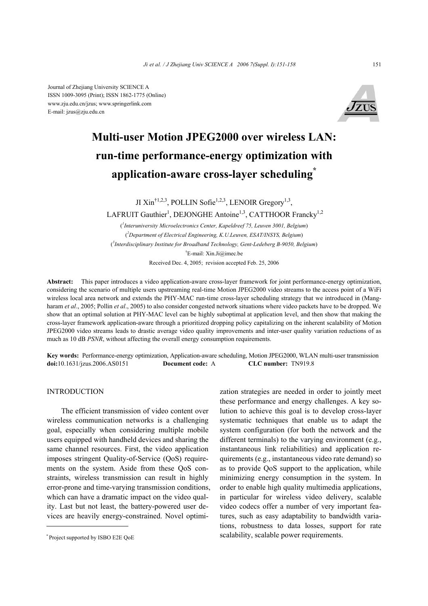Journal of Zhejiang University SCIENCE A ISSN 1009-3095 (Print); ISSN 1862-1775 (Online) www.zju.edu.cn/jzus; www.springerlink.com E-mail: jzus@zju.edu.cn



# **Multi-user Motion JPEG2000 over wireless LAN: run-time performance-energy optimization with application-aware cross-layer scheduling\***

JI Xin<sup>†1,2,3</sup>, POLLIN Sofie<sup>1,2,3</sup>, LENOIR Gregory<sup>1,3</sup>,

LAFRUIT Gauthier<sup>1</sup>, DEJONGHE Antoine<sup>1,3</sup>, CATTHOOR Francky<sup>1,2</sup>

( *1 Interuniversity Microelectronics Center, Kapeldreef 75, Leuven 3001, Belgium*) ( *2 Department of Electrical Engineering, K.U.Leuven, ESAT/INSYS, Belgium*) ( *3 Interdisciplinary Institute for Broadband Technology, Gent-Ledeberg B-9050, Belgium*) † E-mail: Xin.Ji@imec.be

Received Dec. 4, 2005; revision accepted Feb. 25, 2006

**Abstract:** This paper introduces a video application-aware cross-layer framework for joint performance-energy optimization, considering the scenario of multiple users upstreaming real-time Motion JPEG2000 video streams to the access point of a WiFi wireless local area network and extends the PHY-MAC run-time cross-layer scheduling strategy that we introduced in (Mangharam *et al*., 2005; Pollin *et al*., 2005) to also consider congested network situations where video packets have to be dropped. We show that an optimal solution at PHY-MAC level can be highly suboptimal at application level, and then show that making the cross-layer framework application-aware through a prioritized dropping policy capitalizing on the inherent scalability of Motion JPEG2000 video streams leads to drastic average video quality improvements and inter-user quality variation reductions of as much as 10 dB *PSNR*, without affecting the overall energy consumption requirements.

**Key words:** Performance-energy optimization, Application-aware scheduling, Motion JPEG2000, WLAN multi-user transmission **doi:**10.1631/jzus.2006.AS0151 **Document code:** A **CLC number:** TN919.8

INTRODUCTION

The efficient transmission of video content over wireless communication networks is a challenging goal, especially when considering multiple mobile users equipped with handheld devices and sharing the same channel resources. First, the video application imposes stringent Quality-of-Service (QoS) requirements on the system. Aside from these QoS constraints, wireless transmission can result in highly error-prone and time-varying transmission conditions, which can have a dramatic impact on the video quality. Last but not least, the battery-powered user devices are heavily energy-constrained. Novel optimization strategies are needed in order to jointly meet these performance and energy challenges. A key solution to achieve this goal is to develop cross-layer systematic techniques that enable us to adapt the system configuration (for both the network and the different terminals) to the varying environment (e.g., instantaneous link reliabilities) and application requirements (e.g., instantaneous video rate demand) so as to provide QoS support to the application, while minimizing energy consumption in the system. In order to enable high quality multimedia applications, in particular for wireless video delivery, scalable video codecs offer a number of very important features, such as easy adaptability to bandwidth variations, robustness to data losses, support for rate scalability, scalable power requirements.

<sup>\*</sup> Project supported by ISBO E2E QoE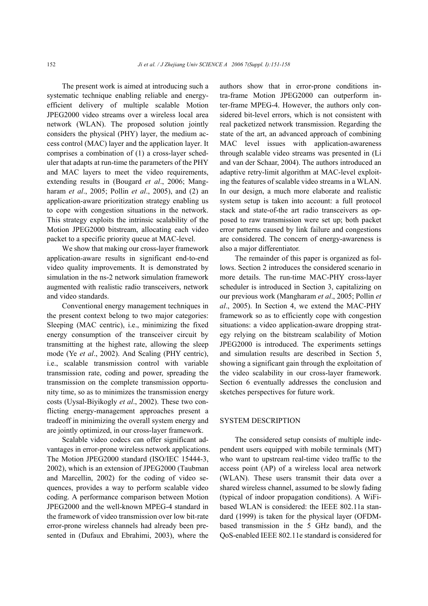The present work is aimed at introducing such a systematic technique enabling reliable and energyefficient delivery of multiple scalable Motion JPEG2000 video streams over a wireless local area network (WLAN). The proposed solution jointly considers the physical (PHY) layer, the medium access control (MAC) layer and the application layer. It comprises a combination of (1) a cross-layer scheduler that adapts at run-time the parameters of the PHY and MAC layers to meet the video requirements, extending results in (Bougard *et al*., 2006; Mangharam *et al*., 2005; Pollin *et al*., 2005), and (2) an application-aware prioritization strategy enabling us to cope with congestion situations in the network. This strategy exploits the intrinsic scalability of the Motion JPEG2000 bitstream, allocating each video packet to a specific priority queue at MAC-level.

We show that making our cross-layer framework application-aware results in significant end-to-end video quality improvements. It is demonstrated by simulation in the ns-2 network simulation framework augmented with realistic radio transceivers, network and video standards.

Conventional energy management techniques in the present context belong to two major categories: Sleeping (MAC centric), i.e., minimizing the fixed energy consumption of the transceiver circuit by transmitting at the highest rate, allowing the sleep mode (Ye *et al*., 2002). And Scaling (PHY centric), i.e., scalable transmission control with variable transmission rate, coding and power, spreading the transmission on the complete transmission opportunity time, so as to minimizes the transmission energy costs (Uysal-Biyikogly *et al*., 2002). These two conflicting energy-management approaches present a tradeoff in minimizing the overall system energy and are jointly optimized, in our cross-layer framework.

Scalable video codecs can offer significant advantages in error-prone wireless network applications. The Motion JPEG2000 standard (ISO/IEC 15444-3, 2002), which is an extension of JPEG2000 (Taubman and Marcellin, 2002) for the coding of video sequences, provides a way to perform scalable video coding. A performance comparison between Motion JPEG2000 and the well-known MPEG-4 standard in the framework of video transmission over low bit-rate error-prone wireless channels had already been presented in (Dufaux and Ebrahimi, 2003), where the

authors show that in error-prone conditions intra-frame Motion JPEG2000 can outperform inter-frame MPEG-4. However, the authors only considered bit-level errors, which is not consistent with real packetized network transmission. Regarding the state of the art, an advanced approach of combining MAC level issues with application-awareness through scalable video streams was presented in (Li and van der Schaar, 2004). The authors introduced an adaptive retry-limit algorithm at MAC-level exploiting the features of scalable video streams in a WLAN. In our design, a much more elaborate and realistic system setup is taken into account: a full protocol stack and state-of-the art radio transceivers as opposed to raw transmission were set up; both packet error patterns caused by link failure and congestions are considered. The concern of energy-awareness is also a major differentiator.

The remainder of this paper is organized as follows. Section 2 introduces the considered scenario in more details. The run-time MAC-PHY cross-layer scheduler is introduced in Section 3, capitalizing on our previous work (Mangharam *et al*., 2005; Pollin *et al*., 2005). In Section 4, we extend the MAC-PHY framework so as to efficiently cope with congestion situations: a video application-aware dropping strategy relying on the bitstream scalability of Motion JPEG2000 is introduced. The experiments settings and simulation results are described in Section 5, showing a significant gain through the exploitation of the video scalability in our cross-layer framework. Section 6 eventually addresses the conclusion and sketches perspectives for future work.

## SYSTEM DESCRIPTION

The considered setup consists of multiple independent users equipped with mobile terminals (MT) who want to upstream real-time video traffic to the access point (AP) of a wireless local area network (WLAN). These users transmit their data over a shared wireless channel, assumed to be slowly fading (typical of indoor propagation conditions). A WiFibased WLAN is considered: the IEEE 802.11a standard (1999) is taken for the physical layer (OFDMbased transmission in the 5 GHz band), and the QoS-enabled IEEE 802.11e standard is considered for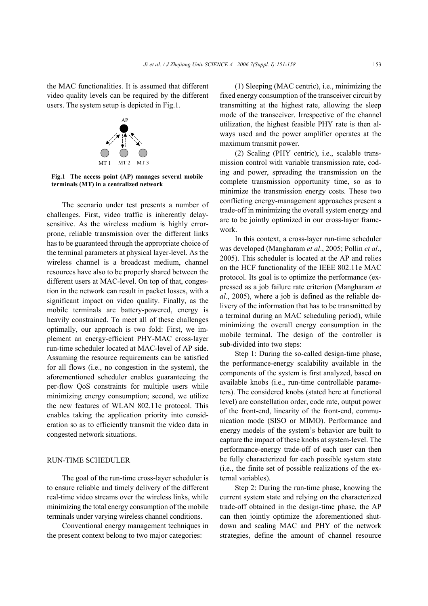the MAC functionalities. It is assumed that different video quality levels can be required by the different users. The system setup is depicted in Fig.1.



**Fig.1 The access point (AP) manages several mobile terminals (MT) in a centralized network** 

The scenario under test presents a number of challenges. First, video traffic is inherently delaysensitive. As the wireless medium is highly errorprone, reliable transmission over the different links has to be guaranteed through the appropriate choice of the terminal parameters at physical layer-level. As the wireless channel is a broadcast medium, channel resources have also to be properly shared between the different users at MAC-level. On top of that, congestion in the network can result in packet losses, with a significant impact on video quality. Finally, as the mobile terminals are battery-powered, energy is heavily constrained. To meet all of these challenges optimally, our approach is two fold: First, we implement an energy-efficient PHY-MAC cross-layer run-time scheduler located at MAC-level of AP side. Assuming the resource requirements can be satisfied for all flows (i.e., no congestion in the system), the aforementioned scheduler enables guaranteeing the per-flow QoS constraints for multiple users while minimizing energy consumption; second, we utilize the new features of WLAN 802.11e protocol. This enables taking the application priority into consideration so as to efficiently transmit the video data in congested network situations.

## RUN-TIME SCHEDULER

The goal of the run-time cross-layer scheduler is to ensure reliable and timely delivery of the different real-time video streams over the wireless links, while minimizing the total energy consumption of the mobile terminals under varying wireless channel conditions.

Conventional energy management techniques in the present context belong to two major categories:

(1) Sleeping (MAC centric), i.e., minimizing the fixed energy consumption of the transceiver circuit by transmitting at the highest rate, allowing the sleep mode of the transceiver. Irrespective of the channel utilization, the highest feasible PHY rate is then always used and the power amplifier operates at the maximum transmit power.

(2) Scaling (PHY centric), i.e., scalable transmission control with variable transmission rate, coding and power, spreading the transmission on the complete transmission opportunity time, so as to minimize the transmission energy costs. These two conflicting energy-management approaches present a trade-off in minimizing the overall system energy and are to be jointly optimized in our cross-layer framework.

In this context, a cross-layer run-time scheduler was developed (Mangharam *et al*., 2005; Pollin *et al*., 2005). This scheduler is located at the AP and relies on the HCF functionality of the IEEE 802.11e MAC protocol. Its goal is to optimize the performance (expressed as a job failure rate criterion (Mangharam *et al*., 2005), where a job is defined as the reliable delivery of the information that has to be transmitted by a terminal during an MAC scheduling period), while minimizing the overall energy consumption in the mobile terminal. The design of the controller is sub-divided into two steps:

Step 1: During the so-called design-time phase, the performance-energy scalability available in the components of the system is first analyzed, based on available knobs (i.e., run-time controllable parameters). The considered knobs (stated here at functional level) are constellation order, code rate, output power of the front-end, linearity of the front-end, communication mode (SISO or MIMO). Performance and energy models of the system's behavior are built to capture the impact of these knobs at system-level. The performance-energy trade-off of each user can then be fully characterized for each possible system state (i.e., the finite set of possible realizations of the external variables).

Step 2: During the run-time phase, knowing the current system state and relying on the characterized trade-off obtained in the design-time phase, the AP can then jointly optimize the aforementioned shutdown and scaling MAC and PHY of the network strategies, define the amount of channel resource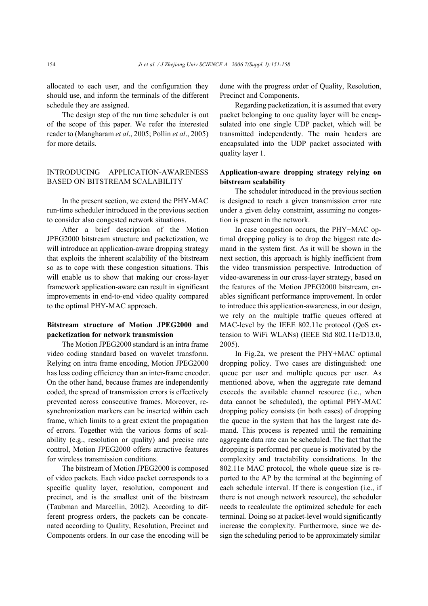allocated to each user, and the configuration they should use, and inform the terminals of the different schedule they are assigned.

The design step of the run time scheduler is out of the scope of this paper. We refer the interested reader to (Mangharam *et al*., 2005; Pollin *et al*., 2005) for more details.

# INTRODUCING APPLICATION-AWARENESS BASED ON BITSTREAM SCALABILITY

In the present section, we extend the PHY-MAC run-time scheduler introduced in the previous section to consider also congested network situations.

After a brief description of the Motion JPEG2000 bitstream structure and packetization, we will introduce an application-aware dropping strategy that exploits the inherent scalability of the bitstream so as to cope with these congestion situations. This will enable us to show that making our cross-layer framework application-aware can result in significant improvements in end-to-end video quality compared to the optimal PHY-MAC approach.

## **Bitstream structure of Motion JPEG2000 and packetization for network transmission**

The Motion JPEG2000 standard is an intra frame video coding standard based on wavelet transform. Relying on intra frame encoding, Motion JPEG2000 has less coding efficiency than an inter-frame encoder. On the other hand, because frames are independently coded, the spread of transmission errors is effectively prevented across consecutive frames. Moreover, resynchronization markers can be inserted within each frame, which limits to a great extent the propagation of errors. Together with the various forms of scalability (e.g., resolution or quality) and precise rate control, Motion JPEG2000 offers attractive features for wireless transmission conditions.

The bitstream of Motion JPEG2000 is composed of video packets. Each video packet corresponds to a specific quality layer, resolution, component and precinct, and is the smallest unit of the bitstream (Taubman and Marcellin, 2002). According to different progress orders, the packets can be concatenated according to Quality, Resolution, Precinct and Components orders. In our case the encoding will be done with the progress order of Quality, Resolution, Precinct and Components.

Regarding packetization, it is assumed that every packet belonging to one quality layer will be encapsulated into one single UDP packet, which will be transmitted independently. The main headers are encapsulated into the UDP packet associated with quality layer 1.

# **Application-aware dropping strategy relying on bitstream scalability**

The scheduler introduced in the previous section is designed to reach a given transmission error rate under a given delay constraint, assuming no congestion is present in the network.

In case congestion occurs, the PHY+MAC optimal dropping policy is to drop the biggest rate demand in the system first. As it will be shown in the next section, this approach is highly inefficient from the video transmission perspective. Introduction of video-awareness in our cross-layer strategy, based on the features of the Motion JPEG2000 bitstream, enables significant performance improvement. In order to introduce this application-awareness, in our design, we rely on the multiple traffic queues offered at MAC-level by the IEEE 802.11e protocol (QoS extension to WiFi WLANs) (IEEE Std 802.11e/D13.0, 2005).

In Fig.2a, we present the PHY+MAC optimal dropping policy. Two cases are distinguished: one queue per user and multiple queues per user. As mentioned above, when the aggregate rate demand exceeds the available channel resource (i.e., when data cannot be scheduled), the optimal PHY-MAC dropping policy consists (in both cases) of dropping the queue in the system that has the largest rate demand. This process is repeated until the remaining aggregate data rate can be scheduled. The fact that the dropping is performed per queue is motivated by the complexity and tractability considrations. In the 802.11e MAC protocol, the whole queue size is reported to the AP by the terminal at the beginning of each schedule interval. If there is congestion (i.e., if there is not enough network resource), the scheduler needs to recalculate the optimized schedule for each terminal. Doing so at packet-level would significantly increase the complexity. Furthermore, since we design the scheduling period to be approximately similar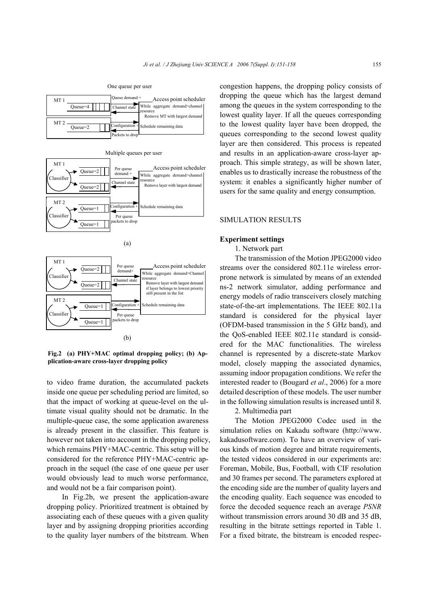One queue per user

| MT 1<br>$Queue = 4$            |  | Oueue demand +<br>Channel state | Access point scheduler<br>While aggregate demand>channel<br>resource<br>Remove MT with largest demand |
|--------------------------------|--|---------------------------------|-------------------------------------------------------------------------------------------------------|
| MT <sub>2</sub><br>$Queue = 2$ |  | Packets to drop                 | Configuration + Schedule remaining data                                                               |





Fig.2 (a) PHY+MAC optimal dropping policy; (b) Ap**plication-aware cross-layer dropping policy** 

to video frame duration, the accumulated packets inside one queue per scheduling period are limited, so that the impact of working at queue-level on the ultimate visual quality should not be dramatic. In the multiple-queue case, the some application awareness is already present in the classifier. This feature is however not taken into account in the dropping policy, which remains PHY+MAC-centric. This setup will be considered for the reference PHY+MAC-centric approach in the sequel (the case of one queue per user would obviously lead to much worse performance, and would not be a fair comparison point).

In Fig.2b, we present the application-aware dropping policy. Prioritized treatment is obtained by associating each of these queues with a given quality layer and by assigning dropping priorities according to the quality layer numbers of the bitstream. When congestion happens, the dropping policy consists of dropping the queue which has the largest demand among the queues in the system corresponding to the lowest quality layer. If all the queues corresponding to the lowest quality layer have been dropped, the queues corresponding to the second lowest quality layer are then considered. This process is repeated and results in an application-aware cross-layer approach. This simple strategy, as will be shown later, enables us to drastically increase the robustness of the system: it enables a significantly higher number of users for the same quality and energy consumption.

#### SIMULATION RESULTS

#### **Experiment settings**

1. Network part

The transmission of the Motion JPEG2000 video streams over the considered 802.11e wireless errorprone network is simulated by means of an extended ns-2 network simulator, adding performance and energy models of radio transceivers closely matching state-of-the-art implementations. The IEEE 802.11a standard is considered for the physical layer (OFDM-based transmission in the 5 GHz band), and the QoS-enabled IEEE 802.11e standard is considered for the MAC functionalities. The wireless channel is represented by a discrete-state Markov model, closely mapping the associated dynamics, assuming indoor propagation conditions. We refer the interested reader to (Bougard *et al*., 2006) for a more detailed description of these models. The user number in the following simulation results is increased until 8.

## 2. Multimedia part

The Motion JPEG2000 Codec used in the simulation relies on Kakadu software (http://www. kakadusoftware.com). To have an overview of various kinds of motion degree and bitrate requirements, the tested videos considered in our experiments are: Foreman, Mobile, Bus, Football, with CIF resolution and 30 frames per second. The parameters explored at the encoding side are the number of quality layers and the encoding quality. Each sequence was encoded to force the decoded sequence reach an average *PSNR* without transmission errors around 30 dB and 35 dB. resulting in the bitrate settings reported in Table 1. For a fixed bitrate, the bitstream is encoded respec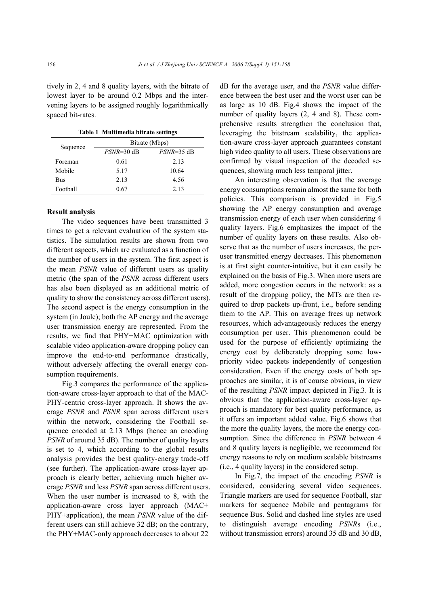tively in 2, 4 and 8 quality layers, with the bitrate of lowest layer to be around 0.2 Mbps and the intervening layers to be assigned roughly logarithmically spaced bit-rates.

|  | Table 1 Multimedia bitrate settings |  |  |
|--|-------------------------------------|--|--|
|--|-------------------------------------|--|--|

|          | Bitrate (Mbps) |            |  |  |
|----------|----------------|------------|--|--|
| Sequence | $PSNR=30$ dB   | PSNR=35 dB |  |  |
| Foreman  | 0.61           | 2.13       |  |  |
| Mobile   | 5.17           | 10.64      |  |  |
| Bus      | 2.13           | 4.56       |  |  |
| Football | 0.67           | 2.13       |  |  |

#### **Result analysis**

The video sequences have been transmitted 3 times to get a relevant evaluation of the system statistics. The simulation results are shown from two different aspects, which are evaluated as a function of the number of users in the system. The first aspect is the mean *PSNR* value of different users as quality metric (the span of the *PSNR* across different users has also been displayed as an additional metric of quality to show the consistency across different users). The second aspect is the energy consumption in the system (in Joule); both the AP energy and the average user transmission energy are represented. From the results, we find that PHY+MAC optimization with scalable video application-aware dropping policy can improve the end-to-end performance drastically, without adversely affecting the overall energy consumption requirements.

Fig.3 compares the performance of the application-aware cross-layer approach to that of the MAC-PHY-centric cross-layer approach. It shows the average *PSNR* and *PSNR* span across different users within the network, considering the Football sequence encoded at 2.13 Mbps (hence an encoding *PSNR* of around 35 dB). The number of quality layers is set to 4, which according to the global results analysis provides the best quality-energy trade-off (see further). The application-aware cross-layer approach is clearly better, achieving much higher average *PSNR* and less *PSNR* span across different users. When the user number is increased to 8, with the application-aware cross layer approach (MAC+ PHY+application), the mean *PSNR* value of the different users can still achieve 32 dB; on the contrary, the PHY+MAC-only approach decreases to about 22

dB for the average user, and the *PSNR* value difference between the best user and the worst user can be as large as 10 dB. Fig.4 shows the impact of the number of quality layers (2, 4 and 8). These comprehensive results strengthen the conclusion that, leveraging the bitstream scalability, the application-aware cross-layer approach guarantees constant high video quality to all users. These observations are confirmed by visual inspection of the decoded sequences, showing much less temporal jitter.

An interesting observation is that the average energy consumptions remain almost the same for both policies. This comparison is provided in Fig.5 showing the AP energy consumption and average transmission energy of each user when considering 4 quality layers. Fig.6 emphasizes the impact of the number of quality layers on these results. Also observe that as the number of users increases, the peruser transmitted energy decreases. This phenomenon is at first sight counter-intuitive, but it can easily be explained on the basis of Fig.3. When more users are added, more congestion occurs in the network: as a result of the dropping policy, the MTs are then required to drop packets up-front, i.e., before sending them to the AP. This on average frees up network resources, which advantageously reduces the energy consumption per user. This phenomenon could be used for the purpose of efficiently optimizing the energy cost by deliberately dropping some lowpriority video packets independently of congestion consideration. Even if the energy costs of both approaches are similar, it is of course obvious, in view of the resulting *PSNR* impact depicted in Fig.3. It is obvious that the application-aware cross-layer approach is mandatory for best quality performance, as it offers an important added value. Fig.6 shows that the more the quality layers, the more the energy consumption. Since the difference in *PSNR* between 4 and 8 quality layers is negligible, we recommend for energy reasons to rely on medium scalable bitstreams (i.e., 4 quality layers) in the considered setup.

In Fig.7, the impact of the encoding *PSNR* is considered, considering several video sequences. Triangle markers are used for sequence Football, star markers for sequence Mobile and pentagrams for sequence Bus. Solid and dashed line styles are used to distinguish average encoding *PSNR*s (i.e., without transmission errors) around 35 dB and 30 dB.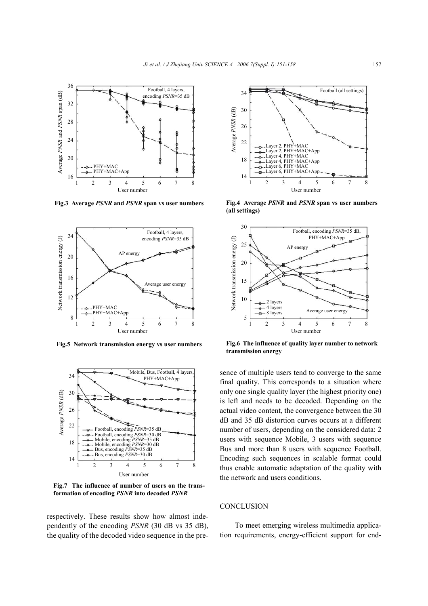

**Fig.3 Average** *PSNR* **and** *PSNR* **span vs user numbers**



**Fig.5 Network transmission energy vs user numbers**



**Fig.7 The influence of number of users on the trans-**

respectively. These results show how almost independently of the encoding *PSNR* (30 dB vs 35 dB), the quality of the decoded video sequence in the pre-



**Fig.4 Average** *PSNR* **and** *PSNR* **span vs user numbers**



**Fig.6 The influence of quality layer number to network transmission energy**

sence of multiple users tend to converge to the same final quality. This corresponds to a situation where only one single quality layer (the highest priority one) is left and needs to be decoded. Depending on the actual video content, the convergence between the 30 dB and 35 dB distortion curves occurs at a different number of users, depending on the considered data: 2 users with sequence Mobile, 3 users with sequence Bus and more than 8 users with sequence Football. Encoding such sequences in scalable format could thus enable automatic adaptation of the quality with the network and users conditions.

#### **CONCLUSION**

To meet emerging wireless multimedia application requirements, energy-efficient support for end